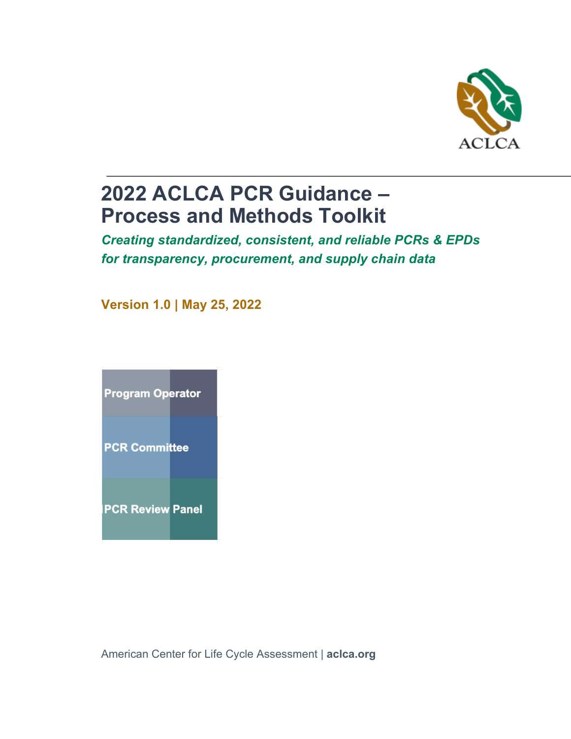

# **2022 ACLCA PCR Guidance – Process and Methods Toolkit**

*Creating standardized, consistent, and reliable PCRs & EPDs for transparency, procurement, and supply chain data*

**Version 1.0 | May 25, 2022**



American Center for Life Cycle Assessment | **aclca.org**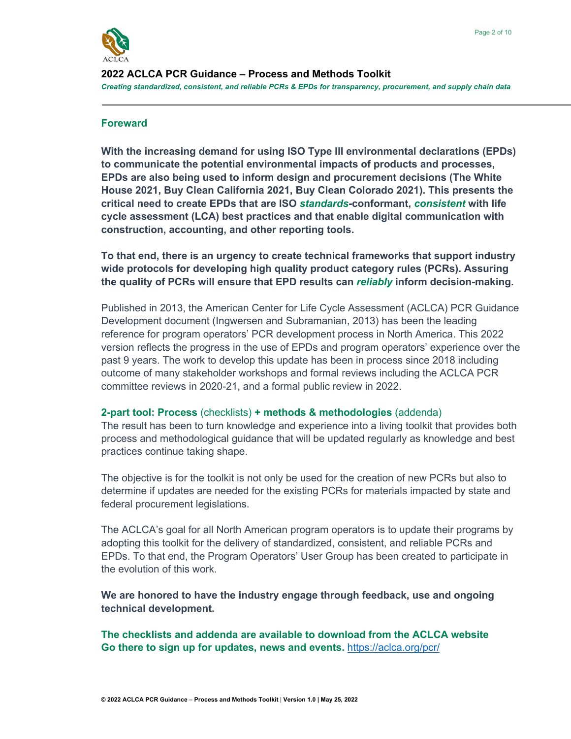

**2022 ACLCA PCR Guidance – Process and Methods Toolkit** *Creating standardized, consistent, and reliable PCRs & EPDs for transparency, procurement, and supply chain data*

#### **Foreward**

**With the increasing demand for using ISO Type III environmental declarations (EPDs) to communicate the potential environmental impacts of products and processes, EPDs are also being used to inform design and procurement decisions (The White House 2021, Buy Clean California 2021, Buy Clean Colorado 2021). This presents the critical need to create EPDs that are ISO** *standards***-conformant,** *consistent* **with life cycle assessment (LCA) best practices and that enable digital communication with construction, accounting, and other reporting tools.**

**To that end, there is an urgency to create technical frameworks that support industry wide protocols for developing high quality product category rules (PCRs). Assuring the quality of PCRs will ensure that EPD results can** *reliably* **inform decision-making.**

Published in 2013, the American Center for Life Cycle Assessment (ACLCA) PCR Guidance Development document (Ingwersen and Subramanian, 2013) has been the leading reference for program operators' PCR development process in North America. This 2022 version reflects the progress in the use of EPDs and program operators' experience over the past 9 years. The work to develop this update has been in process since 2018 including outcome of many stakeholder workshops and formal reviews including the ACLCA PCR committee reviews in 2020-21, and a formal public review in 2022.

#### **2-part tool: Process** (checklists) **+ methods & methodologies** (addenda)

The result has been to turn knowledge and experience into a living toolkit that provides both process and methodological guidance that will be updated regularly as knowledge and best practices continue taking shape.

The objective is for the toolkit is not only be used for the creation of new PCRs but also to determine if updates are needed for the existing PCRs for materials impacted by state and federal procurement legislations.

The ACLCA's goal for all North American program operators is to update their programs by adopting this toolkit for the delivery of standardized, consistent, and reliable PCRs and EPDs. To that end, the Program Operators' User Group has been created to participate in the evolution of this work.

**We are honored to have the industry engage through feedback, use and ongoing technical development.**

**The checklists and addenda are available to download from the ACLCA website Go there to sign up for updates, news and events.** https://aclca.org/pcr/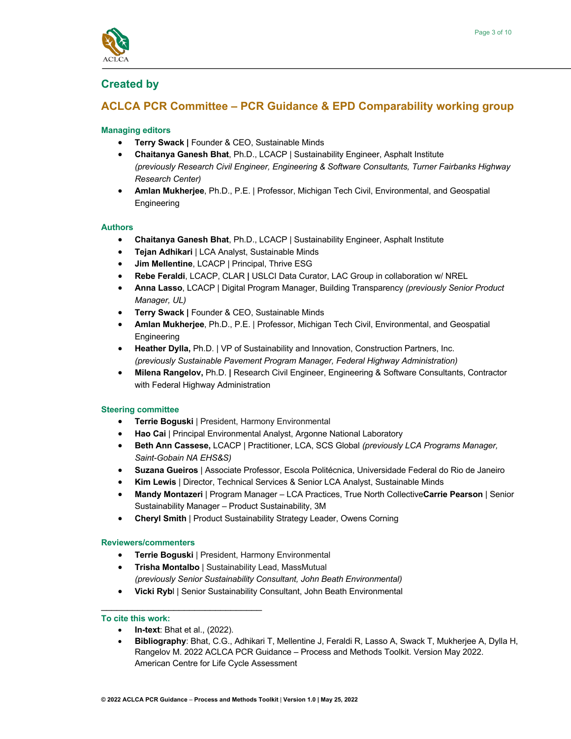

# **Created by**

# **ACLCA PCR Committee – PCR Guidance & EPD Comparability working group**

## **Managing editors**

- **Terry Swack |** Founder & CEO, Sustainable Minds
- **Chaitanya Ganesh Bhat**, Ph.D., LCACP | Sustainability Engineer, Asphalt Institute *(previously Research Civil Engineer, Engineering & Software Consultants, Turner Fairbanks Highway Research Center)*
- **Amlan Mukherjee**, Ph.D., P.E. | Professor, Michigan Tech Civil, Environmental, and Geospatial Engineering

#### **Authors**

- **Chaitanya Ganesh Bhat**, Ph.D., LCACP | Sustainability Engineer, Asphalt Institute
- **Tejan Adhikari** | LCA Analyst, Sustainable Minds
- **Jim Mellentine**, LCACP | Principal, Thrive ESG
- **Rebe Feraldi**, LCACP, CLAR **|** USLCI Data Curator, LAC Group in collaboration w/ NREL
- **Anna Lasso**, LCACP | Digital Program Manager, Building Transparency *(previously Senior Product Manager, UL)*
- **Terry Swack |** Founder & CEO, Sustainable Minds
- **Amlan Mukherjee**, Ph.D., P.E. | Professor, Michigan Tech Civil, Environmental, and Geospatial **Engineering**
- **Heather Dylla,** Ph.D. | VP of Sustainability and Innovation, Construction Partners, Inc. *(previously Sustainable Pavement Program Manager, Federal Highway Administration)*
- **Milena Rangelov,** Ph.D. **|** Research Civil Engineer, Engineering & Software Consultants, Contractor with Federal Highway Administration

#### **Steering committee**

- **Terrie Boguski** | President, Harmony Environmental
- **Hao Cai** | Principal Environmental Analyst, Argonne National Laboratory
- **Beth Ann Cassese,** LCACP | Practitioner, LCA, SCS Global *(previously LCA Programs Manager, Saint-Gobain NA EHS&S)*
- **Suzana Gueiros** | Associate Professor, Escola Politécnica, Universidade Federal do Rio de Janeiro
- **Kim Lewis** | Director, Technical Services & Senior LCA Analyst, Sustainable Minds
- **Mandy Montazeri** | Program Manager LCA Practices, True North Collective**Carrie Pearson** | Senior Sustainability Manager – Product Sustainability, 3M
- **Cheryl Smith** | Product Sustainability Strategy Leader, Owens Corning

#### **Reviewers/commenters**

- **Terrie Boguski** | President, Harmony Environmental
- **Trisha Montalbo** | Sustainability Lead, MassMutual *(previously Senior Sustainability Consultant, John Beath Environmental)*
- **Vicki Ryb**l | Senior Sustainability Consultant, John Beath Environmental

#### **To cite this work:**

• **In-text**: Bhat et al., (2022).

\_\_\_\_\_\_\_\_\_\_\_\_\_\_\_\_\_\_\_\_\_\_\_\_\_\_\_\_\_\_\_

• **Bibliography**: Bhat, C.G., Adhikari T, Mellentine J, Feraldi R, Lasso A, Swack T, Mukherjee A, Dylla H, Rangelov M. 2022 ACLCA PCR Guidance – Process and Methods Toolkit. Version May 2022. American Centre for Life Cycle Assessment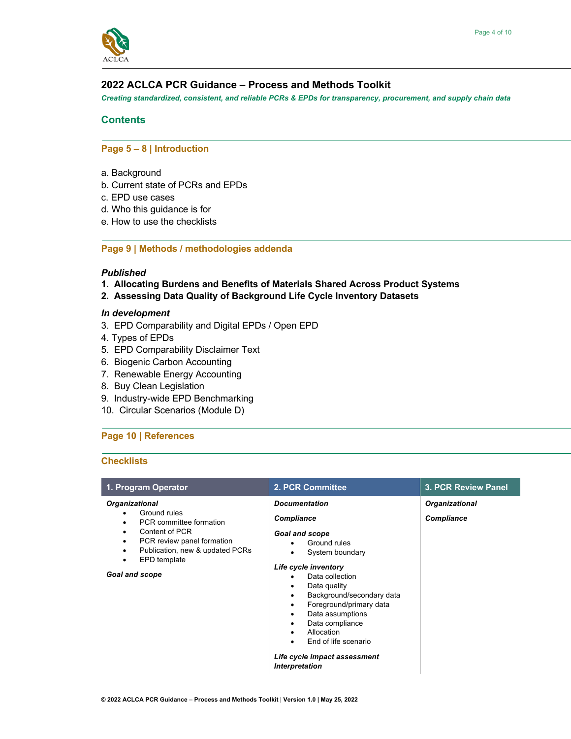

# **2022 ACLCA PCR Guidance – Process and Methods Toolkit**

*Creating standardized, consistent, and reliable PCRs & EPDs for transparency, procurement, and supply chain data*

# **Contents**

## **Page 5 – 8 | Introduction**

- a. Background
- b. Current state of PCRs and EPDs
- c. EPD use cases
- d. Who this guidance is for
- e. How to use the checklists

### **Page 9 | Methods / methodologies addenda**

### *Published*

- **1. Allocating Burdens and Benefits of Materials Shared Across Product Systems**
- **2. Assessing Data Quality of Background Life Cycle Inventory Datasets**

#### *In development*

- 3. EPD Comparability and Digital EPDs / Open EPD
- 4. Types of EPDs
- 5. EPD Comparability Disclaimer Text
- 6. Biogenic Carbon Accounting
- 7. Renewable Energy Accounting
- 8. Buy Clean Legislation
- 9. Industry-wide EPD Benchmarking
- 10. Circular Scenarios (Module D)

# **Page 10 | References**

#### **Checklists**

| 1. Program Operator                                                                                                                                                                                         | 2. PCR Committee                                                                                                                                                                                                                                                                                                                                                            | 3. PCR Review Panel                        |  |
|-------------------------------------------------------------------------------------------------------------------------------------------------------------------------------------------------------------|-----------------------------------------------------------------------------------------------------------------------------------------------------------------------------------------------------------------------------------------------------------------------------------------------------------------------------------------------------------------------------|--------------------------------------------|--|
| <b>Organizational</b><br>Ground rules<br>PCR committee formation<br>Content of PCR<br>PCR review panel formation<br>٠<br>Publication, new & updated PCRs<br>٠<br>EPD template<br>٠<br><b>Goal and scope</b> | <b>Documentation</b><br><b>Compliance</b><br>Goal and scope<br>Ground rules<br>System boundary<br>Life cycle inventory<br>Data collection<br>Data quality<br>Background/secondary data<br>٠<br>Foreground/primary data<br>٠<br>Data assumptions<br>٠<br>Data compliance<br>Allocation<br>٠<br>End of life scenario<br>Life cycle impact assessment<br><b>Interpretation</b> | <b>Organizational</b><br><b>Compliance</b> |  |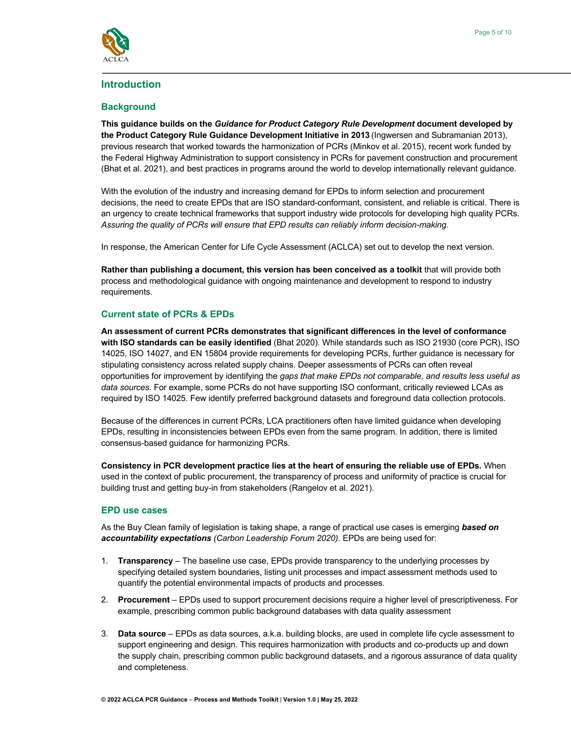

# **Introduction**

### **Background**

**This guidance builds on the** *Guidance for Product Category Rule Development* **document developed by the Product Category Rule Guidance Development Initiative in 2013** (Ingwersen and Subramanian 2013), previous research that worked towards the harmonization of PCRs (Minkov et al. 2015), recent work funded by the Federal Highway Administration to support consistency in PCRs for pavement construction and procurement (Bhat et al. 2021), and best practices in programs around the world to develop internationally relevant guidance.

With the evolution of the industry and increasing demand for EPDs to inform selection and procurement decisions, the need to create EPDs that are ISO standard-conformant, consistent, and reliable is critical. There is an urgency to create technical frameworks that support industry wide protocols for developing high quality PCRs. *Assuring the quality of PCRs will ensure that EPD results can reliably inform decision-making.*

In response, the American Center for Life Cycle Assessment (ACLCA) set out to develop the next version.

**Rather than publishing a document, this version has been conceived as a toolkit** that will provide both process and methodological guidance with ongoing maintenance and development to respond to industry requirements.

# **Current state of PCRs & EPDs**

**An assessment of current PCRs demonstrates that significant differences in the level of conformance with ISO standards can be easily identified** (Bhat 2020). While standards such as ISO 21930 (core PCR), ISO 14025, ISO 14027, and EN 15804 provide requirements for developing PCRs, further guidance is necessary for stipulating consistency across related supply chains. Deeper assessments of PCRs can often reveal opportunities for improvement by identifying the *gaps that make EPDs not comparable, and results less useful as data sources.* For example, some PCRs do not have supporting ISO conformant, critically reviewed LCAs as required by ISO 14025. Few identify preferred background datasets and foreground data collection protocols.

Because of the differences in current PCRs, LCA practitioners often have limited guidance when developing EPDs, resulting in inconsistencies between EPDs even from the same program. In addition, there is limited consensus-based guidance for harmonizing PCRs.

**Consistency in PCR development practice lies at the heart of ensuring the reliable use of EPDs.** When used in the context of public procurement, the transparency of process and uniformity of practice is crucial for building trust and getting buy-in from stakeholders (Rangelov et al. 2021).

#### **EPD use cases**

As the Buy Clean family of legislation is taking shape, a range of practical use cases is emerging *based on accountability expectations (Carbon Leadership Forum 2020).* EPDs are being used for:

- 1. **Transparency** The baseline use case, EPDs provide transparency to the underlying processes by specifying detailed system boundaries, listing unit processes and impact assessment methods used to quantify the potential environmental impacts of products and processes.
- 2. **Procurement** EPDs used to support procurement decisions require a higher level of prescriptiveness. For example, prescribing common public background databases with data quality assessment
- 3. **Data source** EPDs as data sources, a.k.a. building blocks, are used in complete life cycle assessment to support engineering and design. This requires harmonization with products and co-products up and down the supply chain, prescribing common public background datasets, and a rigorous assurance of data quality and completeness.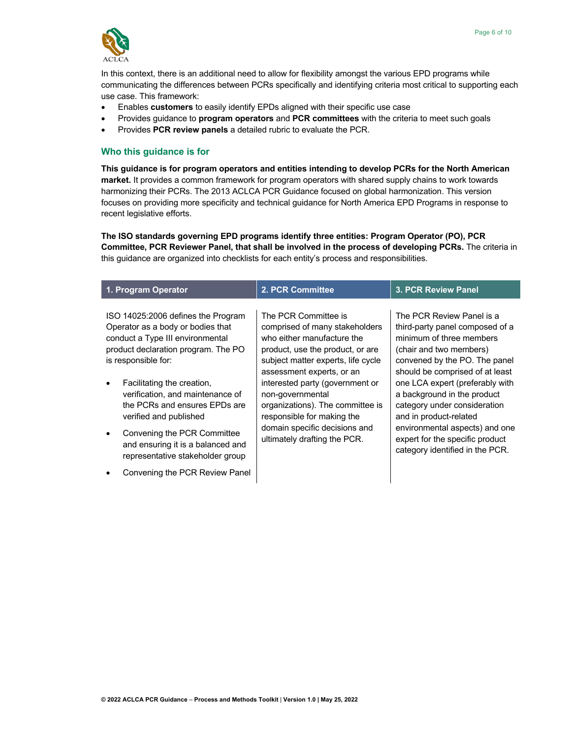

In this context, there is an additional need to allow for flexibility amongst the various EPD programs while communicating the differences between PCRs specifically and identifying criteria most critical to supporting each use case. This framework:

- Enables **customers** to easily identify EPDs aligned with their specific use case
- Provides guidance to **program operators** and **PCR committees** with the criteria to meet such goals
- Provides **PCR review panels** a detailed rubric to evaluate the PCR.

#### **Who this guidance is for**

**This guidance is for program operators and entities intending to develop PCRs for the North American market.** It provides a common framework for program operators with shared supply chains to work towards harmonizing their PCRs. The 2013 ACLCA PCR Guidance focused on global harmonization. This version focuses on providing more specificity and technical guidance for North America EPD Programs in response to recent legislative efforts.

**The ISO standards governing EPD programs identify three entities: Program Operator (PO), PCR Committee, PCR Reviewer Panel, that shall be involved in the process of developing PCRs.** The criteria in this guidance are organized into checklists for each entity's process and responsibilities.

| 1. Program Operator                                                                                                                                                                                                                                                                                                                                                                                                                              | 2. PCR Committee                                                                                                                                                                                                                                                                                                                                                                      | <b>3. PCR Review Panel</b>                                                                                                                                                                                                                                                                                                                                                                                                  |
|--------------------------------------------------------------------------------------------------------------------------------------------------------------------------------------------------------------------------------------------------------------------------------------------------------------------------------------------------------------------------------------------------------------------------------------------------|---------------------------------------------------------------------------------------------------------------------------------------------------------------------------------------------------------------------------------------------------------------------------------------------------------------------------------------------------------------------------------------|-----------------------------------------------------------------------------------------------------------------------------------------------------------------------------------------------------------------------------------------------------------------------------------------------------------------------------------------------------------------------------------------------------------------------------|
| ISO 14025:2006 defines the Program<br>Operator as a body or bodies that<br>conduct a Type III environmental<br>product declaration program. The PO<br>is responsible for:<br>Facilitating the creation,<br>verification, and maintenance of<br>the PCRs and ensures EPDs are<br>verified and published<br>Convening the PCR Committee<br>and ensuring it is a balanced and<br>representative stakeholder group<br>Convening the PCR Review Panel | The PCR Committee is<br>comprised of many stakeholders<br>who either manufacture the<br>product, use the product, or are<br>subject matter experts, life cycle<br>assessment experts, or an<br>interested party (government or<br>non-governmental<br>organizations). The committee is<br>responsible for making the<br>domain specific decisions and<br>ultimately drafting the PCR. | The PCR Review Panel is a<br>third-party panel composed of a<br>minimum of three members<br>(chair and two members)<br>convened by the PO. The panel<br>should be comprised of at least<br>one LCA expert (preferably with<br>a background in the product<br>category under consideration<br>and in product-related<br>environmental aspects) and one<br>expert for the specific product<br>category identified in the PCR. |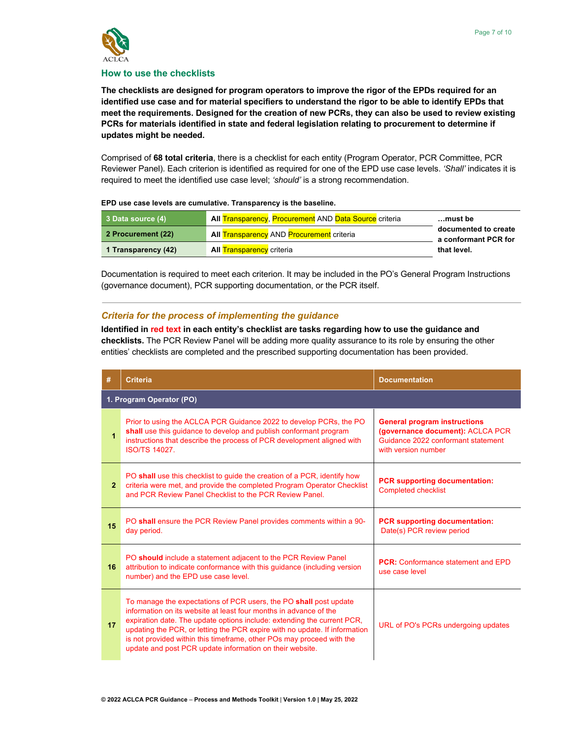

#### **How to use the checklists**

**The checklists are designed for program operators to improve the rigor of the EPDs required for an identified use case and for material specifiers to understand the rigor to be able to identify EPDs that meet the requirements. Designed for the creation of new PCRs, they can also be used to review existing PCRs for materials identified in state and federal legislation relating to procurement to determine if updates might be needed.**

Comprised of **68 total criteria**, there is a checklist for each entity (Program Operator, PCR Committee, PCR Reviewer Panel). Each criterion is identified as required for one of the EPD use case levels. *'Shall'* indicates it is required to meet the identified use case level; *'should'* is a strong recommendation.

| 3 Data source (4)   | <b>All Transparency, Procurement AND Data Source criteria</b> | must be                                      |
|---------------------|---------------------------------------------------------------|----------------------------------------------|
| 2 Procurement (22)  | <b>All Transparency AND Procurement criteria</b>              | documented to create<br>a conformant PCR for |
| 1 Transparency (42) | <b>All Transparency criteria</b>                              | that level.                                  |

Documentation is required to meet each criterion. It may be included in the PO's General Program Instructions (governance document), PCR supporting documentation, or the PCR itself.

#### *Criteria for the process of implementing the guidance*

**Identified in red text in each entity's checklist are tasks regarding how to use the guidance and checklists.** The PCR Review Panel will be adding more quality assurance to its role by ensuring the other entities' checklists are completed and the prescribed supporting documentation has been provided.

| #              | <b>Criteria</b>                                                                                                                                                                                                                                                                                                                                                                                                                      | <b>Documentation</b>                                                                                                                 |  |  |  |  |  |
|----------------|--------------------------------------------------------------------------------------------------------------------------------------------------------------------------------------------------------------------------------------------------------------------------------------------------------------------------------------------------------------------------------------------------------------------------------------|--------------------------------------------------------------------------------------------------------------------------------------|--|--|--|--|--|
|                | 1. Program Operator (PO)                                                                                                                                                                                                                                                                                                                                                                                                             |                                                                                                                                      |  |  |  |  |  |
| $\overline{1}$ | Prior to using the ACLCA PCR Guidance 2022 to develop PCRs, the PO<br>shall use this quidance to develop and publish conformant program<br>instructions that describe the process of PCR development aligned with<br><b>ISO/TS 14027.</b>                                                                                                                                                                                            | <b>General program instructions</b><br>(governance document): ACLCA PCR<br>Guidance 2022 conformant statement<br>with version number |  |  |  |  |  |
| $\overline{2}$ | PO shall use this checklist to guide the creation of a PCR, identify how<br>criteria were met, and provide the completed Program Operator Checklist<br>and PCR Review Panel Checklist to the PCR Review Panel.                                                                                                                                                                                                                       | <b>PCR</b> supporting documentation:<br><b>Completed checklist</b>                                                                   |  |  |  |  |  |
| 15             | PO shall ensure the PCR Review Panel provides comments within a 90-<br>day period.                                                                                                                                                                                                                                                                                                                                                   | <b>PCR</b> supporting documentation:<br>Date(s) PCR review period                                                                    |  |  |  |  |  |
| 16             | PO should include a statement adjacent to the PCR Review Panel<br>attribution to indicate conformance with this guidance (including version<br>number) and the EPD use case level.                                                                                                                                                                                                                                                   | <b>PCR:</b> Conformance statement and EPD<br>use case level                                                                          |  |  |  |  |  |
| 17             | To manage the expectations of PCR users, the PO shall post update<br>information on its website at least four months in advance of the<br>expiration date. The update options include: extending the current PCR,<br>updating the PCR, or letting the PCR expire with no update. If information<br>is not provided within this timeframe, other POs may proceed with the<br>update and post PCR update information on their website. | URL of PO's PCRs undergoing updates                                                                                                  |  |  |  |  |  |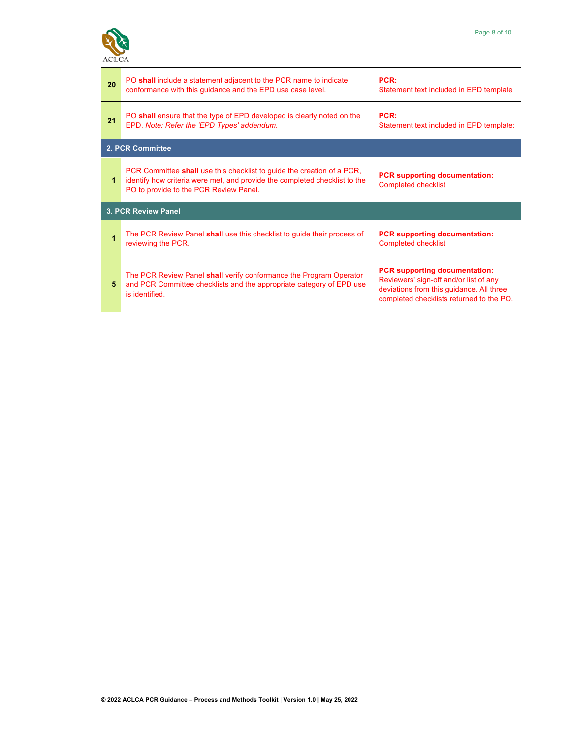

| 20 | PO shall include a statement adjacent to the PCR name to indicate<br>conformance with this guidance and the EPD use case level.                                                                | PCR:<br>Statement text included in EPD template                                                                                                                        |
|----|------------------------------------------------------------------------------------------------------------------------------------------------------------------------------------------------|------------------------------------------------------------------------------------------------------------------------------------------------------------------------|
| 21 | PO shall ensure that the type of EPD developed is clearly noted on the<br>EPD. Note: Refer the 'EPD Types' addendum.                                                                           | PCR:<br>Statement text included in EPD template:                                                                                                                       |
|    | 2. PCR Committee                                                                                                                                                                               |                                                                                                                                                                        |
| 1  | PCR Committee shall use this checklist to guide the creation of a PCR,<br>identify how criteria were met, and provide the completed checklist to the<br>PO to provide to the PCR Review Panel. | <b>PCR supporting documentation:</b><br><b>Completed checklist</b>                                                                                                     |
|    | <b>3. PCR Review Panel</b>                                                                                                                                                                     |                                                                                                                                                                        |
| 1  | The PCR Review Panel shall use this checklist to guide their process of<br>reviewing the PCR.                                                                                                  | <b>PCR</b> supporting documentation:<br><b>Completed checklist</b>                                                                                                     |
| 5  | The PCR Review Panel shall verify conformance the Program Operator<br>and PCR Committee checklists and the appropriate category of EPD use<br>is identified.                                   | <b>PCR supporting documentation:</b><br>Reviewers' sign-off and/or list of any<br>deviations from this guidance. All three<br>completed checklists returned to the PO. |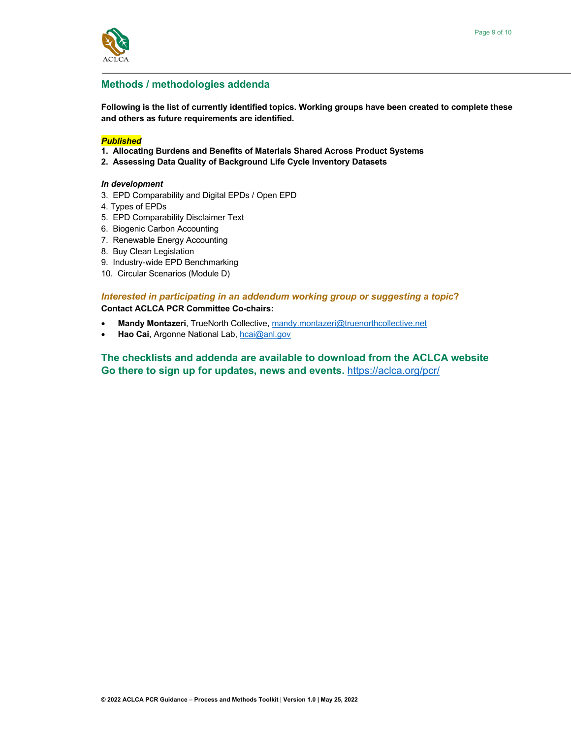

## **Methods / methodologies addenda**

**Following is the list of currently identified topics. Working groups have been created to complete these and others as future requirements are identified.**

#### *Published*

- **1. Allocating Burdens and Benefits of Materials Shared Across Product Systems**
- **2. Assessing Data Quality of Background Life Cycle Inventory Datasets**

#### *In development*

- 3. EPD Comparability and Digital EPDs / Open EPD
- 4. Types of EPDs
- 5. EPD Comparability Disclaimer Text
- 6. Biogenic Carbon Accounting
- 7. Renewable Energy Accounting
- 8. Buy Clean Legislation
- 9. Industry-wide EPD Benchmarking
- 10. Circular Scenarios (Module D)

#### *Interested in participating in an addendum working group or suggesting a topic***?**

#### **Contact ACLCA PCR Committee Co-chairs:**

- **Mandy Montazeri**, TrueNorth Collective, mandy.montazeri@truenorthcollective.net
- **Hao Cai**, Argonne National Lab, hcai@anl.gov

**The checklists and addenda are available to download from the ACLCA website Go there to sign up for updates, news and events.** https://aclca.org/pcr/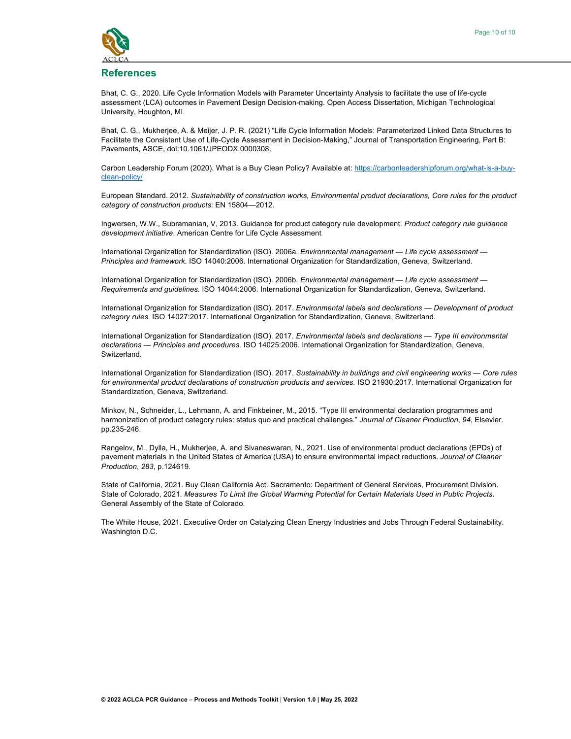

#### **References**

Bhat, C. G., 2020. Life Cycle Information Models with Parameter Uncertainty Analysis to facilitate the use of life-cycle assessment (LCA) outcomes in Pavement Design Decision-making. Open Access Dissertation, Michigan Technological University, Houghton, MI.

Bhat, C. G., Mukherjee, A. & Meijer, J. P. R. (2021) "Life Cycle Information Models: Parameterized Linked Data Structures to Facilitate the Consistent Use of Life-Cycle Assessment in Decision-Making," Journal of Transportation Engineering, Part B: Pavements, ASCE, doi:10.1061/JPEODX.0000308.

Carbon Leadership Forum (2020). What is a Buy Clean Policy? Available at: https://carbonleadershipforum.org/what-is-a-buyclean-policy/

European Standard. 2012. *Sustainability of construction works, Environmental product declarations, Core rules for the product category of construction products*: EN 15804—2012.

Ingwersen, W.W., Subramanian, V, 2013. Guidance for product category rule development. *Product category rule guidance development initiative*. American Centre for Life Cycle Assessment

International Organization for Standardization (ISO). 2006a. *Environmental management — Life cycle assessment — Principles and framework.* ISO 14040:2006. International Organization for Standardization, Geneva, Switzerland.

International Organization for Standardization (ISO). 2006b. *Environmental management — Life cycle assessment — Requirements and guidelines.* ISO 14044:2006. International Organization for Standardization, Geneva, Switzerland.

International Organization for Standardization (ISO). 2017. *Environmental labels and declarations — Development of product category rules.* ISO 14027:2017. International Organization for Standardization, Geneva, Switzerland.

International Organization for Standardization (ISO). 2017. *Environmental labels and declarations — Type III environmental declarations — Principles and procedures.* ISO 14025:2006. International Organization for Standardization, Geneva, Switzerland.

International Organization for Standardization (ISO). 2017. *Sustainability in buildings and civil engineering works — Core rules for environmental product declarations of construction products and services.* ISO 21930:2017. International Organization for Standardization, Geneva, Switzerland.

Minkov, N., Schneider, L., Lehmann, A. and Finkbeiner, M., 2015. "Type III environmental declaration programmes and harmonization of product category rules: status quo and practical challenges." *Journal of Cleaner Production*, *94*, Elsevier. pp.235-246.

Rangelov, M., Dylla, H., Mukherjee, A. and Sivaneswaran, N., 2021. Use of environmental product declarations (EPDs) of pavement materials in the United States of America (USA) to ensure environmental impact reductions. *Journal of Cleaner Production*, *283*, p.124619.

State of California, 2021. Buy Clean California Act. Sacramento: Department of General Services, Procurement Division. State of Colorado, 2021. *Measures To Limit the Global Warming Potential for Certain Materials Used in Public Projects*. General Assembly of the State of Colorado.

The White House, 2021. Executive Order on Catalyzing Clean Energy Industries and Jobs Through Federal Sustainability. Washington D.C.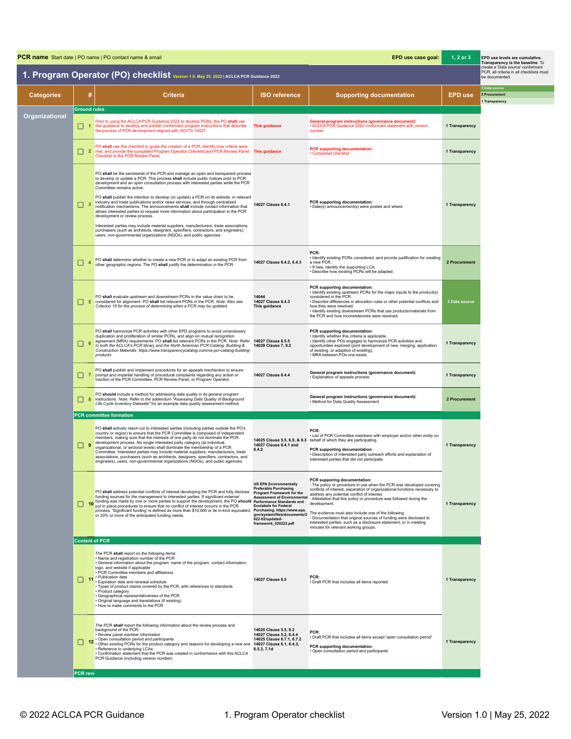| EPD use case goal:<br><b>PCR name</b> Start date   PO name   PO contact name & email |                              |                                                                                                                                                                                                                                                                                                                                                                                                                                                                                                                                                                                                                                                                                                                                                                                                                                                                                                                                             |                                                                                                                                                                                                                                                                                 |                                                                                                                                                                                                                                                                                                                                                                                                                                                                                                                                                                                              | $1, 2$ or $3$  | EPD use levels are cumulative.<br>Transparency is the baseline. To                              |
|--------------------------------------------------------------------------------------|------------------------------|---------------------------------------------------------------------------------------------------------------------------------------------------------------------------------------------------------------------------------------------------------------------------------------------------------------------------------------------------------------------------------------------------------------------------------------------------------------------------------------------------------------------------------------------------------------------------------------------------------------------------------------------------------------------------------------------------------------------------------------------------------------------------------------------------------------------------------------------------------------------------------------------------------------------------------------------|---------------------------------------------------------------------------------------------------------------------------------------------------------------------------------------------------------------------------------------------------------------------------------|----------------------------------------------------------------------------------------------------------------------------------------------------------------------------------------------------------------------------------------------------------------------------------------------------------------------------------------------------------------------------------------------------------------------------------------------------------------------------------------------------------------------------------------------------------------------------------------------|----------------|-------------------------------------------------------------------------------------------------|
|                                                                                      |                              | 1. Program Operator (PO) checklist Version 1.0, May 25, 2022   ACLCA PCR Guidance 2022                                                                                                                                                                                                                                                                                                                                                                                                                                                                                                                                                                                                                                                                                                                                                                                                                                                      |                                                                                                                                                                                                                                                                                 |                                                                                                                                                                                                                                                                                                                                                                                                                                                                                                                                                                                              |                | create a 'Data source' conformant<br>PCR, all criteria in all checklists must<br>be documented. |
| <b>Categories</b>                                                                    | #                            | <b>Criteria</b>                                                                                                                                                                                                                                                                                                                                                                                                                                                                                                                                                                                                                                                                                                                                                                                                                                                                                                                             | <b>ISO reference</b>                                                                                                                                                                                                                                                            | <b>Supporting documentation</b>                                                                                                                                                                                                                                                                                                                                                                                                                                                                                                                                                              | <b>EPD use</b> | 3 Data source<br>2 Procurement<br>1 Transparency                                                |
| Organizational                                                                       | <b>Ground rules</b><br>    1 | Prior to using the ACLCA PCR Guidance 2022 to develop PCRs, the PO shall use<br>this guidance to develop and publish conformant program instructions that describe<br>the process of PCR development aligned with ISO/TS 14027.                                                                                                                                                                                                                                                                                                                                                                                                                                                                                                                                                                                                                                                                                                             | This guidance                                                                                                                                                                                                                                                                   | General program instructions (governance document):<br>· ACLCA PCR Guidance 2022 conformant statement with version<br>number                                                                                                                                                                                                                                                                                                                                                                                                                                                                 | 1 Transparency |                                                                                                 |
|                                                                                      | □ 2                          | PO shall use this checklist to guide the creation of a PCR, identify how criteria were<br>met, and provide the completed Program Operator Checklist and PCR Review Panel<br>Checklist to the PCR Review Panel.                                                                                                                                                                                                                                                                                                                                                                                                                                                                                                                                                                                                                                                                                                                              | <b>This guidance</b>                                                                                                                                                                                                                                                            | <b>PCR supporting documentation:</b><br>Completed checklist                                                                                                                                                                                                                                                                                                                                                                                                                                                                                                                                  | 1 Transparency |                                                                                                 |
|                                                                                      | $\Box$ 3                     | PO shall be the secretariat of the PCR and manage an open and transparent process<br>to develop or update a PCR. This process shall include public notices prior to PCR<br>development and an open consultation process with interested parties while the PCR<br>Committee remains active.<br>PO shall publish the intention to develop (or update) a PCR on its website, in relevant<br>industry and trade publications and/or news services, and through centralized<br>notification mechanisms. The announcements shall include contact information that<br>allows interested parties to request more information about participation in the PCR<br>development or review process.<br>Interested parties may include material suppliers, manufacturers, trade associations,<br>purchasers (such as architects, designers, specifiers, contractors, and engineers),<br>users, non-governmental organizations (NGOs), and public agencies. | 14027 Clause 6.4.1                                                                                                                                                                                                                                                              | PCR supporting documentation:<br>· Date(s) announcement(s) were posted and where                                                                                                                                                                                                                                                                                                                                                                                                                                                                                                             | 1 Transparency |                                                                                                 |
|                                                                                      | □                            | PO shall determine whether to create a new PCR or to adapt an existing PCR from<br>other geographic regions. The PO shall justify the determination in the PCR.                                                                                                                                                                                                                                                                                                                                                                                                                                                                                                                                                                                                                                                                                                                                                                             | 14027 Clause 6.4.2, 6.4.3                                                                                                                                                                                                                                                       | PCR:<br>· Identify existing PCRs considered, and provide justification for creating<br>a new PCR.<br>. If new, identify the supporting LCA.<br>· Describe how existing PCRs will be adapted.                                                                                                                                                                                                                                                                                                                                                                                                 | 2 Procurement  |                                                                                                 |
|                                                                                      | ш                            | PO shall evaluate upstream and downstream PCRs in the value chain to be<br>considered for alignment. PO shall list relevant PCRs in the PCR. Note: Also see<br>Criterion 15 for the process of determining when a PCR may be updated.                                                                                                                                                                                                                                                                                                                                                                                                                                                                                                                                                                                                                                                                                                       | 14044<br>14027 Clause 6.4.3<br>This guidance                                                                                                                                                                                                                                    | PCR supporting documentation:<br>· Identify existing upstream PCRs for the major inputs to the product(s)<br>considered in the PCR.<br>· Describe differences in allocation rules or other potential conflicts and<br>how they were resolved.<br>· Identify existing downstream PCRs that use products/materials from<br>the PCR and how inconsistencies were resolved.                                                                                                                                                                                                                      | 3 Data source  |                                                                                                 |
|                                                                                      | П<br>6                       | PO shall harmonize PCR activities with other EPD programs to avoid unnecessary<br>duplication and proliferation of similar PCRs, and align on mutual recognition<br>agreement (MRA) requirements. PO shall list relevant PCRs in the PCR. Note: Refer<br>to both the ACLCA's PCR library and the North American PCR Catalog: Building &<br>Construction Materials https://www.transparencycatalog.com/na-pcr-catalog-building-<br>products                                                                                                                                                                                                                                                                                                                                                                                                                                                                                                  | 14027 Clause 6.5.5<br>14029 Clause 7, 9.2                                                                                                                                                                                                                                       | PCR supporting documentation:<br>· Identify whether this criteria is applicable.<br>· Identify other POs engaged to harmonize PCR activities and<br>opportunities explored (joint development of new, merging, application<br>of existing, or adaption of existing).<br>· MRA between POs one exists.                                                                                                                                                                                                                                                                                        | 1 Transparency |                                                                                                 |
|                                                                                      | □ 7                          | PO shall publish and implement procedures for an appeals mechanism to ensure<br>prompt and impartial handling of procedural complaints regarding any action or<br>inaction of the PCR Committee, PCR Review Panel, or Program Operator.                                                                                                                                                                                                                                                                                                                                                                                                                                                                                                                                                                                                                                                                                                     | 14027 Clause 6.4.4                                                                                                                                                                                                                                                              | General program instructions (governance document):<br>· Explanation of appeals process                                                                                                                                                                                                                                                                                                                                                                                                                                                                                                      | 1 Transparency |                                                                                                 |
|                                                                                      | □<br>-8                      | PO should include a method for addressing data quality in its general program<br>instructions. Note: Refer to the addendum "Assessing Data Quality of Background<br>Life Cycle Inventory Datasets" for an example data quality assessment method.                                                                                                                                                                                                                                                                                                                                                                                                                                                                                                                                                                                                                                                                                           |                                                                                                                                                                                                                                                                                 | General program instructions (governance document):<br>. Method for Data Quality Assessment                                                                                                                                                                                                                                                                                                                                                                                                                                                                                                  | 2 Procurement  |                                                                                                 |
|                                                                                      | -9<br>. .                    | <b>PCR</b> committee formation<br>PO shall actively reach out to interested parties (including parties outside the PO's<br>country or region) to ensure that the PCR Committee is composed of independent<br>members, making sure that the interests of one party do not dominate the PCR<br>development process. No single interested party category (at individual,<br>organizational, or sectoral levels) shall dominate the membership of a PCR<br>Committee. Interested parties may include material suppliers, manufacturers, trade<br>associations, purchasers (such as architects, designers, specifiers, contractors, and<br>engineers), users, non-governmental organizations (NGOs), and public agencies.                                                                                                                                                                                                                        | 14027 Clause 6.4.1 and<br>6.4.2                                                                                                                                                                                                                                                 | <b>PCR</b><br>. List of PCR Committee members with employer and/or other entity on<br>14025 Clause 5.5, 6.5, & 9.3 behalf of which they are participating.<br>PCR supporting documentation:<br>· Description of interested party outreach efforts and explanation of<br>interested parties that did not participate.                                                                                                                                                                                                                                                                         | 1 Transparency |                                                                                                 |
|                                                                                      | H                            | PO shall address potential conflicts of interest developing the PCR and fully disclose<br>funding sources for the management to interested parties. If significant external<br>10 funding was made by one or more parties to support the development, the PO should<br>put in place procedures to ensure that no conflict of interest occurrs in the PCR<br>process. 'Significant funding' is defined as more than \$10,000 or its in-kind equivalent,<br>or 20% or more of the anticipated funding needs.                                                                                                                                                                                                                                                                                                                                                                                                                                  | <b>US EPA Environmentally</b><br><b>Preferable Purchasing</b><br>Program Framework for the<br><b>Assessment of Environmental</b><br><b>Performance Standards and</b><br><b>Ecolabels for Federal</b><br>Purchasing. https://www.epa.<br>022-02/updated-<br>framework_020222.pdf | PCR supporing documentation:<br>- The policy or procedure in use when the PCR was developed covering<br>conflicts of interest, separation of organizational functions necessary to<br>address any potential conflict of interest.<br>Attestation that this policy or procedure was followed during the<br>development.<br>gov/system/files/documents/2 The evidence must also include one of the following:<br>Documentation that original sources of funding were disclosed to<br>interested parties, such as a disclosure statement, or in meeting<br>minutes for relevant working groups. | 1 Transparency |                                                                                                 |
|                                                                                      | <b>Content of PCR</b>        |                                                                                                                                                                                                                                                                                                                                                                                                                                                                                                                                                                                                                                                                                                                                                                                                                                                                                                                                             |                                                                                                                                                                                                                                                                                 |                                                                                                                                                                                                                                                                                                                                                                                                                                                                                                                                                                                              |                |                                                                                                 |
|                                                                                      |                              | The PCR shall report on the following items:<br>. Name and registration number of the PCR<br>· General information about the program: name of the program, contact information,<br>logo, and website if applicable<br>· PCR Committee members and affiliations<br>11 Publication date<br>Expiration date and renewal schedule<br>. Types of product claims covered by the PCR, with references to standards<br>• Product category<br>· Geographical representativeness of the PCR<br>· Original language and translations (if existing)<br>. How to make comments to the PCR                                                                                                                                                                                                                                                                                                                                                                | 14027 Clause 6.5                                                                                                                                                                                                                                                                | PCR:<br>· Draft PCR that includes all items reported                                                                                                                                                                                                                                                                                                                                                                                                                                                                                                                                         | 1 Transparency |                                                                                                 |
|                                                                                      |                              | The PCR shall report the following information about the review process and<br>background of the PCR:<br>• Review panel member information<br>· Open consultation period and participants<br>12 . Other existing PCRs for the product category and reasons for developing a new one<br>· Reference to underlying LCAs<br>• Confirmation statement that the PCR was created in conformance with this ACLCA<br>PCR Guidance (including version number)                                                                                                                                                                                                                                                                                                                                                                                                                                                                                        | 14025 Clause 5.5, 8.2<br>14027 Clause 5.2, 6.4.4<br>14025 Clause 6.7.1, 6.7.2<br>14027 Clause 6.1, 6.4.3,<br>6.5.3, 7.1d                                                                                                                                                        | PCR:<br>· Draft PCR that includes all items except 'open consultation period'<br>PCR supporting documentation:<br>· Open consultation period and participants                                                                                                                                                                                                                                                                                                                                                                                                                                | 1 Transparency |                                                                                                 |
|                                                                                      | PCR revi                     |                                                                                                                                                                                                                                                                                                                                                                                                                                                                                                                                                                                                                                                                                                                                                                                                                                                                                                                                             |                                                                                                                                                                                                                                                                                 |                                                                                                                                                                                                                                                                                                                                                                                                                                                                                                                                                                                              |                |                                                                                                 |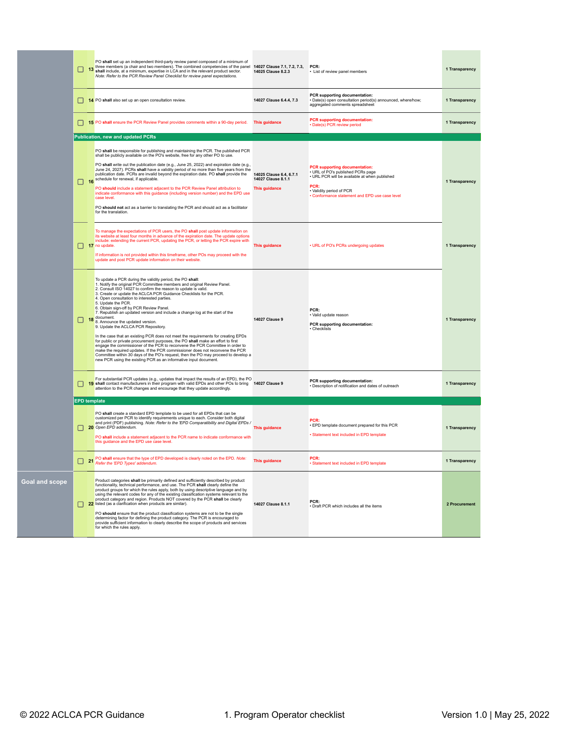|    |   | PO shall set up an independent third-party review panel composed of a minimum of<br>13 three members (a chair and two members). The combined competencies of the panel<br>13 shall include, at a minimum, expertise in LCA and in the relevant product sector.<br>Note: Refer to the PCR Review Panel Checklist for review panel expectations.                                                                                                                                                                                                                                                                                                                                                                                                                                                                                                                                                                                                                                                                                                                            | 14027 Clause 7.1, 7.2, 7.3,<br>14025 Clause 8.2.3                     | PCR:<br>List of review panel members                                                                                                                                                                         | 1 Transparency |
|----|---|---------------------------------------------------------------------------------------------------------------------------------------------------------------------------------------------------------------------------------------------------------------------------------------------------------------------------------------------------------------------------------------------------------------------------------------------------------------------------------------------------------------------------------------------------------------------------------------------------------------------------------------------------------------------------------------------------------------------------------------------------------------------------------------------------------------------------------------------------------------------------------------------------------------------------------------------------------------------------------------------------------------------------------------------------------------------------|-----------------------------------------------------------------------|--------------------------------------------------------------------------------------------------------------------------------------------------------------------------------------------------------------|----------------|
|    |   | 14 PO shall also set up an open consultation review.                                                                                                                                                                                                                                                                                                                                                                                                                                                                                                                                                                                                                                                                                                                                                                                                                                                                                                                                                                                                                      | 14027 Clause 6.4.4, 7.3                                               | PCR supporting documentation:<br>Date(s) open consultation period(s) announced, where/how;<br>aggregated comments spreadsheet                                                                                | 1 Transparency |
|    |   | 15 PO shall ensure the PCR Review Panel provides comments within a 90-day period.                                                                                                                                                                                                                                                                                                                                                                                                                                                                                                                                                                                                                                                                                                                                                                                                                                                                                                                                                                                         | This guidance                                                         | <b>PCR supporting documentation:</b><br>• Date(s) PCR review period                                                                                                                                          | 1 Transparency |
|    |   | <b>Publication, new and updated PCRs</b>                                                                                                                                                                                                                                                                                                                                                                                                                                                                                                                                                                                                                                                                                                                                                                                                                                                                                                                                                                                                                                  |                                                                       |                                                                                                                                                                                                              |                |
|    |   | PO shall be responsible for publishing and maintaining the PCR. The published PCR<br>shall be publicly available on the PO's website, free for any other PO to use.<br>PO shall write out the publication date (e.g., June 25, 2022) and expiration date (e.g.,<br>June 24, 2027). PCRs shall have a validity period of no more than five years from the<br>publication date. PCRs are invalid beyond the expiration date. PO shall provide the<br>16 schedule for renewal, if applicable.<br>PO should include a statement adjacent to the PCR Review Panel attribution to<br>indicate conformance with this guidance (including version number) and the EPD use<br>case level.<br>PO should not act as a barrier to translating the PCR and should act as a facilitator<br>for the translation.                                                                                                                                                                                                                                                                         | 14025 Clause 6.4, 6.7.1<br>14027 Clause 8.1.1<br><b>This quidance</b> | <b>PCR</b> supporting documentation:<br>URL of PO's published PCRs page<br>· URL PCR will be available at when published<br>PCR:<br>· Validity period of PCR<br>Conformance statement and EPD use case level | 1 Transparency |
|    |   | To manage the expectations of PCR users, the PO shall post update information on<br>its website at least four months in advance of the expiration date. The update options<br>include: extending the current PCR, updating the PCR, or letting the PCR expire with<br>$\Box$ 17 no update<br>If information is not provided within this timeframe, other POs may proceed with the<br>update and post PCR update information on their website.                                                                                                                                                                                                                                                                                                                                                                                                                                                                                                                                                                                                                             | This guidance                                                         | • URL of PO's PCRs undergoing updates                                                                                                                                                                        | 1 Transparency |
|    | □ | To update a PCR during the validity period, the PO shall:<br>1. Notify the original PCR Committee members and original Review Panel.<br>2. Consult ISO 14027 to confirm the reason to update is valid.<br>3. Create or update the ACLCA PCR Guidance Checklists for the PCR.<br>4. Open consultation to interested parties.<br>5. Update the PCR.<br>6. Obtain sign-off by PCR Review Panel.<br>7. Republish an updated version and include a change log at the start of the<br>18 document.<br>8. Announce the updated version.<br>9. Update the ACLCA PCR Repository.<br>In the case that an existing PCR does not meet the requirements for creating EPDs<br>for public or private procurement purposes, the PO shall make an effort to first engage the commissioner of the PCR to reconvene the PCR Committee in order to<br>make the required updates. If the PCR commissioner does not reconvene the PCR<br>Committee within 30 days of the PO's request, then the PO may proceed to develop a<br>new PCR using the existing PCR as an informative input document. | <b>14027 Clause 9</b>                                                 | PCR-<br>· Valid update reason<br>PCR supporting documentation:<br>· Checklists                                                                                                                               | 1 Transparency |
|    | □ | For substantial PCR updates (e.g., updates that impact the results of an EPD), the PO<br>19 shall contact manufacturers in their program with valid EPDs and other POs to bring 14027 Clause 9<br>attention to the PCR changes and encourage that they update accordingly.                                                                                                                                                                                                                                                                                                                                                                                                                                                                                                                                                                                                                                                                                                                                                                                                |                                                                       | PCR supporting documentation:<br>Description of notification and dates of outreach                                                                                                                           | 1 Transparency |
|    |   | <b>EPD</b> template                                                                                                                                                                                                                                                                                                                                                                                                                                                                                                                                                                                                                                                                                                                                                                                                                                                                                                                                                                                                                                                       |                                                                       |                                                                                                                                                                                                              |                |
|    |   | PO shall create a standard EPD template to be used for all EPDs that can be<br>customized per PCR to identify requirements unique to each. Consider both digital<br>and print (PDF) publishing. Note: Refer to the 'EPD Comparatibility and Digital EPDs /<br>20 Open EPD addendum.<br>PO shall include a statement adjacent to the PCR name to indicate conformance with<br>this guidance and the EPD use case level.                                                                                                                                                                                                                                                                                                                                                                                                                                                                                                                                                                                                                                                    | This guidance                                                         | PCR-<br>· EPD template document prepared for this PCR<br>· Statement text included in EPD template                                                                                                           | 1 Transparency |
|    |   | 21 PO shall ensure that the type of EPD developed is clearly noted on the EPD. Note:<br>Refer the 'EPD Types' addendum.                                                                                                                                                                                                                                                                                                                                                                                                                                                                                                                                                                                                                                                                                                                                                                                                                                                                                                                                                   | <b>This quidance</b>                                                  | PCR:<br>Statement text included in EPD template                                                                                                                                                              | 1 Transparency |
| pe |   | Product categories shall be primarily defined and sufficiently described by product<br>functionality, technical performance, and use. The PCR shall clearly define the<br>product groups for which the rules apply, both by using descriptive language and by using the relevant codes for any of the existing classification systems relevant to the<br>product category and region. Products NOT covered by the PCR shall be clearly<br>22 listed (as a clarification when products are similar).<br>PO should ensure that the product classification systems are not to be the single<br>determining factor for defining the product category. The PCR is encouraged to<br>provide sufficient information to clearly describe the scope of products and services<br>for which the rules apply.                                                                                                                                                                                                                                                                         | 14027 Clause 8.1.1                                                    | PCR:<br>· Draft PCR which includes all the items                                                                                                                                                             | 2 Procurement  |

**Goal and sco**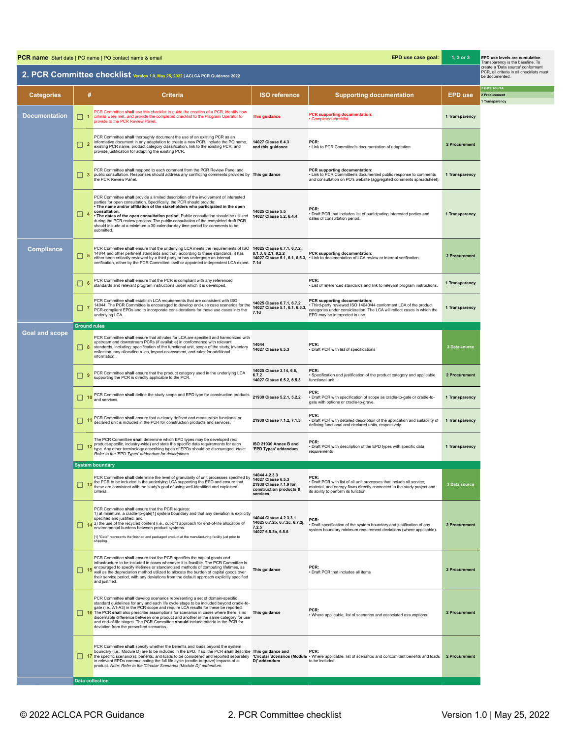| EPD use case goal:<br><b>PCR name</b> Start date   PO name   PO contact name & email<br>1, 2 or 3 |                     |                                                                                                                                                                                                                                                                                                                                                                                                                                                                                                                                                                                          |                                                                                                      |                                                                                                                                                                                                                 |                | EPD use levels are cumulative.<br>Transparency is the baseline. To                                               |
|---------------------------------------------------------------------------------------------------|---------------------|------------------------------------------------------------------------------------------------------------------------------------------------------------------------------------------------------------------------------------------------------------------------------------------------------------------------------------------------------------------------------------------------------------------------------------------------------------------------------------------------------------------------------------------------------------------------------------------|------------------------------------------------------------------------------------------------------|-----------------------------------------------------------------------------------------------------------------------------------------------------------------------------------------------------------------|----------------|------------------------------------------------------------------------------------------------------------------|
|                                                                                                   |                     | 2. PCR Committee checklist Version 1.0, May 25, 2022   ACLCA PCR Guidance 2022                                                                                                                                                                                                                                                                                                                                                                                                                                                                                                           |                                                                                                      |                                                                                                                                                                                                                 |                | create a 'Data source' conformant<br>PCR, all criteria in all checklists must<br>be documented.<br>3 Data source |
| <b>Categories</b>                                                                                 | #                   | <b>Criteria</b>                                                                                                                                                                                                                                                                                                                                                                                                                                                                                                                                                                          | <b>ISO reference</b>                                                                                 | <b>Supporting documentation</b>                                                                                                                                                                                 | <b>EPD use</b> | 2 Procurement<br>1 Transparency                                                                                  |
| <b>Documentation</b>                                                                              | ш<br>-1             | PCR Committee shall use this checklist to guide the creation of a PCR, identify how<br>criteria were met, and provide the completed checklist to the Program Operator to<br>provide to the PCR Review Panel.                                                                                                                                                                                                                                                                                                                                                                             | <b>This guidance</b>                                                                                 | <b>PCR</b> supporting documentation:<br>• Completed checklist                                                                                                                                                   | 1 Transparency |                                                                                                                  |
|                                                                                                   | $\Box$ 2            | PCR Committee shall thoroughly document the use of an existing PCR as an<br>informative document in any adaptation to create a new PCR. Include the PO name,<br>existing PCR name, product category classification, link to the existing PCR, and<br>provide justification for adapting the existing PCR.                                                                                                                                                                                                                                                                                | 14027 Clause 6.4.3<br>and this guidance                                                              | PCR:<br>• Link to PCR Committee's documentation of adaptation                                                                                                                                                   | 2 Procurement  |                                                                                                                  |
|                                                                                                   | $\Box$ 3            | PCR Committee shall respond to each comment from the PCR Review Panel and<br>public consultation. Responses should address any conflicting comments provided by This guidance<br>the PCR Review Panel.                                                                                                                                                                                                                                                                                                                                                                                   |                                                                                                      | PCR supporting documentation:<br>• Link to PCR Committee's documented public response to comments<br>and consultation on PO's website (aggregated comments spreadsheet)                                         | 1 Transparency |                                                                                                                  |
|                                                                                                   | $\Box$ 4            | PCR Committee shall provide a limited description of the involvement of interested<br>parties for open consultation. Specifically, the PCR should provide:<br>. The name and/or affiliation of the stakeholders who participated in the open<br>consultation.<br>. The dates of the open consultation period. Public consultation should be utilized<br>during the PCR review process. The public consultation of the completed draft PCR<br>should include at a minimum a 30-calendar-day time period for comments to be<br>submitted.                                                  | 14025 Clause 5.5<br>14027 Clause 5.2, 6.4.4                                                          | PCR:<br>• Draft PCR that includes list of participating interested parties and<br>dates of consultation period.                                                                                                 | 1 Transparency |                                                                                                                  |
| <b>Compliance</b>                                                                                 | □.<br>5             | PCR Committee shall ensure that the underlying LCA meets the requirements of ISO<br>14044 and other pertinent standards and that, according to these standards, it has<br>either been critically reviewed by a third party or has undergone an internal<br>verification, either by the PCR Committee itself or appointed independent LCA expert. 7.1d                                                                                                                                                                                                                                    | 14025 Clause 6.7.1, 6.7.2,<br>8.1.3. 8.2.1. 8.2.2                                                    | PCR supporting documentation:<br>14027 Clause 5.1, 6.1, 6.5.3, • Link to documentation of LCA review or internal verification.                                                                                  | 2 Procurement  |                                                                                                                  |
|                                                                                                   | □<br>-6             | PCR Committee shall ensure that the PCR is compliant with any referenced<br>standards and relevant program instructions under which it is developed.                                                                                                                                                                                                                                                                                                                                                                                                                                     |                                                                                                      | PCR:<br>• List of referenced standards and link to relevant program instructions.                                                                                                                               | 1 Transparency |                                                                                                                  |
|                                                                                                   | $\Box$ 7            | PCR Committee shall establish LCA requirements that are consistent with ISO<br>14044. The PCR Committee is encouraged to develop end-use case scenarios for the<br>PCR-compliant EPDs and to incorporate considerations for these use cases into the<br>underlying LCA.                                                                                                                                                                                                                                                                                                                  | 14025 Clause 6.7.1, 6.7.2<br>14027 Clause 5.1, 6.1, 6.5.3,<br>7.1 <sub>d</sub>                       | PCR supporting documentation:<br>· Third-party reviewed ISO 14040/44 conformant LCA of the product<br>categories under consideration. The LCA will reflect cases in which the<br>EPD may be interpreted in use. | 1 Transparency |                                                                                                                  |
|                                                                                                   | <b>Ground rules</b> |                                                                                                                                                                                                                                                                                                                                                                                                                                                                                                                                                                                          |                                                                                                      |                                                                                                                                                                                                                 |                |                                                                                                                  |
| <b>Goal and scope</b>                                                                             | $\Box$ 8            | PCR Committee shall ensure that all rules for LCA are specified and harmonized with<br>upstream and downstream PCRs (if available) in conformance with relevant<br>standards, including: specification of the functional unit, scope of the study, inventory<br>collection, any allocation rules, impact assessment, and rules for additional<br>information                                                                                                                                                                                                                             | 14044<br>14027 Clause 6.5.3                                                                          | PCR:<br>· Draft PCR with list of specifications                                                                                                                                                                 | 3 Data source  |                                                                                                                  |
|                                                                                                   | □.<br>9             | PCR Committee shall ensure that the product category used in the underlying LCA<br>supporting the PCR is directly applicable to the PCR.                                                                                                                                                                                                                                                                                                                                                                                                                                                 | 14025 Clause 3.14, 6.6,<br>6.7.2<br>14027 Clause 6.5.2, 6.5.3                                        | PCR:<br>· Specification and justification of the product category and applicable<br>functional unit.                                                                                                            | 2 Procurement  |                                                                                                                  |
|                                                                                                   | $\square$ 10        | PCR Committee shall define the study scope and EPD type for construction products<br>and services                                                                                                                                                                                                                                                                                                                                                                                                                                                                                        | 21930 Clause 5.2.1, 5.2.2                                                                            | PCR:<br>· Draft PCR with specification of scope as cradle-to-gate or cradle-to-<br>gate with options or cradle-to-grave.                                                                                        | 1 Transparency |                                                                                                                  |
|                                                                                                   | $\square$ 11        | PCR Committee shall ensure that a clearly defined and measurable functional or<br>declared unit is included in the PCR for construction products and services.                                                                                                                                                                                                                                                                                                                                                                                                                           | 21930 Clause 7.1.2, 7.1.3                                                                            | PCR:<br>· Draft PCR with detailed description of the application and suitability of<br>defining functional and declared units, respectively.                                                                    | 1 Transparency |                                                                                                                  |
|                                                                                                   |                     | The PCR Committee shall determine which EPD types may be developed (ex:<br>12 product-specific, industry-wide) and state the specific data requirements for each<br>type. Any other terminology describing types of EPDs should be discouraged. Note:<br>Refer to the 'EPD Types' addendum for descriptions.                                                                                                                                                                                                                                                                             | ISO 21930 Annex B and<br>'EPD Types' addendum                                                        | PCR:<br>· Draft PCR with description of the EPD types with specific data<br>requirements                                                                                                                        | 1 Transparency |                                                                                                                  |
|                                                                                                   |                     | <b>System boundary</b>                                                                                                                                                                                                                                                                                                                                                                                                                                                                                                                                                                   |                                                                                                      |                                                                                                                                                                                                                 |                |                                                                                                                  |
|                                                                                                   | -13                 | PCR Committee shall determine the level of granularity of unit processes specified by<br>the PCR to be included in the underlying LCA supporting the EPD and ensure that<br>these are consistent with the study's goal of using well-identified and explained<br>criteria.                                                                                                                                                                                                                                                                                                               | 14044 4.2.3.3<br>14027 Clause 6.5.3<br>21930 Clause 7.1.9 for<br>construction products &<br>services | PCR:<br>• Draft PCR with list of all unit processes that include all service,<br>material, and energy flows directly connected to the study project and<br>its ability to perform its function.                 | 3 Data source  |                                                                                                                  |
|                                                                                                   |                     | PCR Committee shall ensure that the PCR requires:<br>1) at minimum, a cradle-to-gate[1] system boundary and that any deviation is explicitly<br>specified and justified; and<br>$\boxed{14}$ (2) the use of the recycled content (i.e., cut-off) approach for end-of-life allocation of<br>environmental burdens between product systems.<br>[1] "Gate" represents the finished and packaged product at the manufacturing facility just prior to<br>shipping.                                                                                                                            | 14044 Clause 4.2.3.3.1<br>14025 6.7.2b, 6.7.2c, 6.7.2j,<br>7.2.5<br>14027 6.5.3b, 6.5.6              | PCR:<br>. Draft specification of the system boundary and justification of any<br>system boundary minimum requirement deviations (where applicable).                                                             | 2 Procurement  |                                                                                                                  |
|                                                                                                   | H                   | PCR Committee shall ensure that the PCR specifies the capital goods and<br>infrastructure to be included in cases whenever it is feasible. The PCR Committee is<br>15 encouraged to specify lifetimes or standardized methods of computing lifetimes, as<br>well as the depreciation method utilized to allocate the burden of capital goods over<br>their service period, with any deviations from the default approach explicitly specified<br>and justified.                                                                                                                          | This guidance                                                                                        | PCR:<br>• Draft PCR that includes all items                                                                                                                                                                     | 2 Procurement  |                                                                                                                  |
|                                                                                                   |                     | PCR Committee shall develop scenarios representing a set of domain-specific<br>standard guidelines for any and each life cycle stage to be included beyond cradle-to-<br>gate (i.e., A1-A3) in the PCR scope and require LCA results for these be reported.<br>16 The PCR shall also prescribe assumptions for scenarios in cases where there is no This guidance<br>discernable difference between one product and another in the same category for use<br>and end-of-life stages. The PCR Committee should include criteria in the PCR for<br>deviation from the prescribed scenarios. |                                                                                                      | PCR:<br>• Where applicable, list of scenarios and associated assumptions.                                                                                                                                       | 2 Procurement  |                                                                                                                  |
|                                                                                                   |                     | PCR Committee shall specify whether the benefits and loads beyond the system<br>boundary (i.e., Module D) are to be included in the EPD. If so, the PCR shall describe This guidance and<br>17 the specific scenario(s), benefits, and loads to be considered and reported separately 'Circular Scenarios (Module · Where applicable, list of scenarios and concomitant benefits and loads 2 Procurement<br>in relevant EPDs communicating the full life cycle (cradle-to-grave) impacts of a<br>product. Note: Refer to the 'Circular Scenarios (Module D)' addendum.                   | D)' addendum                                                                                         | PCR:<br>to be included.                                                                                                                                                                                         |                |                                                                                                                  |
|                                                                                                   |                     | <b>Data collection</b>                                                                                                                                                                                                                                                                                                                                                                                                                                                                                                                                                                   |                                                                                                      |                                                                                                                                                                                                                 |                |                                                                                                                  |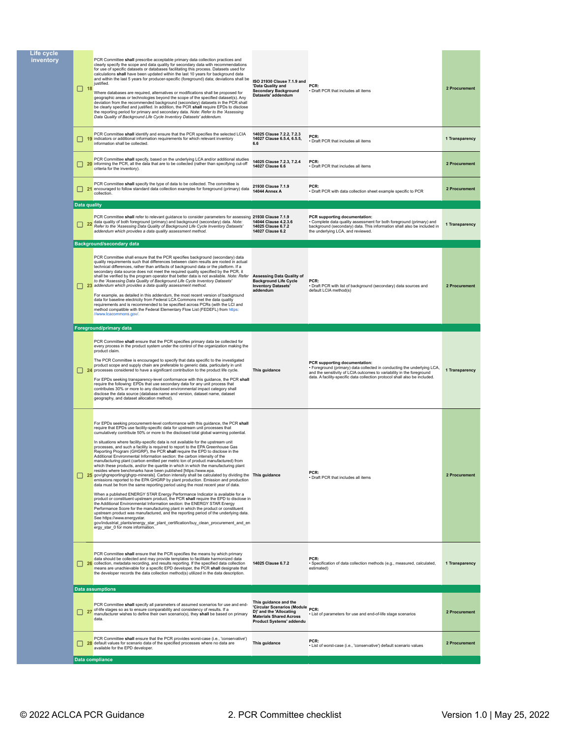| Life cycle<br>inventory | $\Box$ 18                 | PCR Committee shall prescribe acceptable primary data collection practices and<br>clearly specify the scope and data quality for secondary data with recommendations<br>for use of specific datasets or databases facilitating this process. Datasets used for<br>calculations shall have been updated within the last 10 years for background data<br>and within the last 5 years for producer-specific (foreground) data; deviations shall be<br>justified.<br>Where databases are required, alternatives or modifications shall be proposed for<br>geographic areas or technologies beyond the scope of the specified dataset(s). Any<br>deviation from the recommended background (secondary) datasets in the PCR shall<br>be clearly specified and justified. In addition, the PCR shall require EPDs to disclose<br>the reporting period for primary and secondary data. Note: Refer to the 'Assessing<br>Data Quality of Background Life Cycle Inventory Datasets' addendum.                                                                                                                                                                                                                                                                                                                                                                                                                                                                                                                                                                                                                                                                                                                                    | ISO 21930 Clause 7.1.9 and<br>'Data Quality and<br><b>Secondary Background</b><br>Datasets' addendum                                               | PCR:<br>· Draft PCR that includes all items                                                                                                                                                                                                                     | 2 Procurement  |
|-------------------------|---------------------------|------------------------------------------------------------------------------------------------------------------------------------------------------------------------------------------------------------------------------------------------------------------------------------------------------------------------------------------------------------------------------------------------------------------------------------------------------------------------------------------------------------------------------------------------------------------------------------------------------------------------------------------------------------------------------------------------------------------------------------------------------------------------------------------------------------------------------------------------------------------------------------------------------------------------------------------------------------------------------------------------------------------------------------------------------------------------------------------------------------------------------------------------------------------------------------------------------------------------------------------------------------------------------------------------------------------------------------------------------------------------------------------------------------------------------------------------------------------------------------------------------------------------------------------------------------------------------------------------------------------------------------------------------------------------------------------------------------------------|----------------------------------------------------------------------------------------------------------------------------------------------------|-----------------------------------------------------------------------------------------------------------------------------------------------------------------------------------------------------------------------------------------------------------------|----------------|
|                         | ப                         | PCR Committee shall identify and ensure that the PCR specifies the selected LCIA<br>19 indicators or additional information requirements for which relevant inventory<br>information shall be collected.                                                                                                                                                                                                                                                                                                                                                                                                                                                                                                                                                                                                                                                                                                                                                                                                                                                                                                                                                                                                                                                                                                                                                                                                                                                                                                                                                                                                                                                                                                               | 14025 Clause 7.2.2, 7.2.3<br>14027 Clause 6.5.4, 6.5.5,<br>6.6                                                                                     | PCR:<br>· Draft PCR that includes all items                                                                                                                                                                                                                     | 1 Transparency |
|                         |                           | PCR Committee shall specify, based on the underlying LCA and/or additional studies<br>20 informing the PCR, all the data that are to be collected (rather than specifying cut-off<br>criteria for the inventory).                                                                                                                                                                                                                                                                                                                                                                                                                                                                                                                                                                                                                                                                                                                                                                                                                                                                                                                                                                                                                                                                                                                                                                                                                                                                                                                                                                                                                                                                                                      | 14025 Clause 7.2.3, 7.2.4<br>14027 Clause 6.6                                                                                                      | PCR:<br>• Draft PCR that includes all items                                                                                                                                                                                                                     | 2 Procurement  |
|                         | ப<br>21                   | PCR Committee shall specify the type of data to be collected. The committee is<br>encouraged to follow standard data collection examples for foreground (primary) data<br>collection.                                                                                                                                                                                                                                                                                                                                                                                                                                                                                                                                                                                                                                                                                                                                                                                                                                                                                                                                                                                                                                                                                                                                                                                                                                                                                                                                                                                                                                                                                                                                  | 21930 Clause 7.1.9<br>14044 Annex A                                                                                                                | PCR:<br>• Draft PCR with data collection sheet example specific to PCR                                                                                                                                                                                          | 2 Procurement  |
|                         | Data quality              |                                                                                                                                                                                                                                                                                                                                                                                                                                                                                                                                                                                                                                                                                                                                                                                                                                                                                                                                                                                                                                                                                                                                                                                                                                                                                                                                                                                                                                                                                                                                                                                                                                                                                                                        |                                                                                                                                                    |                                                                                                                                                                                                                                                                 |                |
|                         | $\begin{array}{ c c }$ 22 | PCR Committee shall refer to relevant guidance to consider parameters for assessing 21930 Clause 7.1.9<br>data quality of both foreground (primary) and background (secondary) data. Note:<br>Refer to the 'Assessing Data Quality of Background Life Cycle Inventory Datasets'<br>addendum which provides a data quality assessment method.                                                                                                                                                                                                                                                                                                                                                                                                                                                                                                                                                                                                                                                                                                                                                                                                                                                                                                                                                                                                                                                                                                                                                                                                                                                                                                                                                                           | 14044 Clause 4.2.3.6<br>14025 Clause 6.7.2<br>14027 Clause 6.2                                                                                     | PCR supporting documentation:<br>· Complete data quality assessment for both foreground (primary) and<br>background (secondary) data. This information shall also be included in<br>the underlying LCA, and reviewed.                                           | 1 Transparency |
|                         |                           | <b>Background/secondary data</b>                                                                                                                                                                                                                                                                                                                                                                                                                                                                                                                                                                                                                                                                                                                                                                                                                                                                                                                                                                                                                                                                                                                                                                                                                                                                                                                                                                                                                                                                                                                                                                                                                                                                                       |                                                                                                                                                    |                                                                                                                                                                                                                                                                 |                |
|                         |                           | PCR Committee shall ensure that the PCR specifies background (secondary) data<br>quality requirements such that differences between claim results are rooted in actual<br>technical differences, rather than artifacts of background data or the platform. If a<br>secondary data source does not meet the required quality specified by the PCR, it<br>shall be verified by the program operator that better data is not available. Note: Refer<br>to the 'Assessing Data Quality of Background Life Cycle Inventory Datasets'<br>23 addendum which provides a data quality assessment method.<br>For example, as detailed in this addendum, the most recent version of background<br>data for baseline electricity from Federal LCA Commons met the data quality<br>requirements and is recommended to be specified across PCRs (with the LCI and<br>method compatible with the Federal Elementary Flow List (FEDEFL) from https:<br>//www.lcacommons.gov/.                                                                                                                                                                                                                                                                                                                                                                                                                                                                                                                                                                                                                                                                                                                                                          | <b>Assessing Data Quality of</b><br><b>Background Life Cycle</b><br><b>Inventory Datasets'</b><br>addendum                                         | PCR:<br>· Draft PCR with list of background (secondary) data sources and<br>default LCIA method(s)                                                                                                                                                              | 2 Procurement  |
|                         |                           | Foreground/primary data                                                                                                                                                                                                                                                                                                                                                                                                                                                                                                                                                                                                                                                                                                                                                                                                                                                                                                                                                                                                                                                                                                                                                                                                                                                                                                                                                                                                                                                                                                                                                                                                                                                                                                |                                                                                                                                                    |                                                                                                                                                                                                                                                                 |                |
|                         |                           | PCR Committee shall ensure that the PCR specifies primary data be collected for<br>every process in the product system under the control of the organization making the<br>product claim.<br>The PCR Committee is encouraged to specify that data specific to the investigated<br>product scope and supply chain are preferable to generic data, particularly in unit<br>24 processes considered to have a significant contribution to the product life cycle.<br>For EPDs seeking transparency-level conformance with this guidance, the PCR shall<br>require the following: EPDs that use secondary data for any unit process that<br>contributes 30% or more to any disclosed environmental impact category shall<br>disclose the data source (database name and version, dataset name, dataset<br>geography, and dataset allocation method).                                                                                                                                                                                                                                                                                                                                                                                                                                                                                                                                                                                                                                                                                                                                                                                                                                                                       | This guidance                                                                                                                                      | PCR supporting documentation:<br>· Foreground (primary) data collected in conducting the underlying LCA,<br>and the sensitivity of LCIA outcomes to variability in the foreground<br>data. A facility-specific data collection protocol shall also be included. | 1 Transparency |
|                         |                           | For EPDs seeking procurement-level conformance with this guidance, the PCR shall<br>require that EPDs use facility-specific data for upstream unit processes that<br>cumulatively contribute 50% or more to the disclosed total global warming potential.<br>In situations where facility-specific data is not available for the upstream unit<br>processes, and such a facility is required to report to the EPA Greenhouse Gas<br>Reporting Program (GHGRP), the PCR shall require the EPD to disclose in the<br>Additional Environmental Information section: the carbon intensity of the<br>manufacturing plant (carbon emitted per metric ton of product manufactured) from<br>which these products, and/or the quartile in which in which the manufacturing plant<br>resides where benchmarks have been published [https://www.epa.<br>25 gov/ghgreporting/ghgrp-minerals]. Carbon intensity shall be calculated by dividing the This guidance<br>emissions reported to the EPA GHGRP by plant production. Emission and production<br>data must be from the same reporting period using the most recent year of data.<br>When a published ENERGY STAR Energy Performance Indicator is available for a<br>product or constituent upstream product, the PCR shall require the EPD to disclose in<br>the Additional Environmental Information section: the ENERGY STAR Energy<br>Performance Score for the manufacturing plant in which the product or constituent<br>upstream product was manufactured, and the reporting period of the underlying data.<br>See https://www.energystar.<br>gov/industrial_plants/energy_star_plant_certification/buy_clean_procurement_and_en<br>ergy_star_0 for more information. |                                                                                                                                                    | PCR:<br>· Draft PCR that includes all items                                                                                                                                                                                                                     | 2 Procurement  |
|                         |                           |                                                                                                                                                                                                                                                                                                                                                                                                                                                                                                                                                                                                                                                                                                                                                                                                                                                                                                                                                                                                                                                                                                                                                                                                                                                                                                                                                                                                                                                                                                                                                                                                                                                                                                                        |                                                                                                                                                    |                                                                                                                                                                                                                                                                 |                |
|                         |                           | PCR Committee shall ensure that the PCR specifies the means by which primary<br>data should be collected and may provide templates to facilitate harmonized data<br>26 collection, metadata recording, and results reporting. If the specified data collection<br>means are unachievable for a specific EPD developer, the PCR shall designate that<br>the developer records the data collection method(s) utilized in the data description.                                                                                                                                                                                                                                                                                                                                                                                                                                                                                                                                                                                                                                                                                                                                                                                                                                                                                                                                                                                                                                                                                                                                                                                                                                                                           | 14025 Clause 6.7.2                                                                                                                                 | PCR:<br>· Specification of data collection methods (e.g., measured, calculated,<br>estimated)                                                                                                                                                                   | 1 Transparency |
|                         |                           | <b>Data assumptions</b>                                                                                                                                                                                                                                                                                                                                                                                                                                                                                                                                                                                                                                                                                                                                                                                                                                                                                                                                                                                                                                                                                                                                                                                                                                                                                                                                                                                                                                                                                                                                                                                                                                                                                                |                                                                                                                                                    |                                                                                                                                                                                                                                                                 |                |
|                         | 27                        | PCR Committee shall specify all parameters of assumed scenarios for use and end-<br>of-life stages so as to ensure comparability and consistency of results. If a<br>manufacturer wishes to define their own scenario(s), they shall be based on primary<br>data                                                                                                                                                                                                                                                                                                                                                                                                                                                                                                                                                                                                                                                                                                                                                                                                                                                                                                                                                                                                                                                                                                                                                                                                                                                                                                                                                                                                                                                       | This guidance and the<br>'Circular Scenarios (Module PCR:<br>D)' and the 'Allocating<br><b>Materials Shared Across</b><br>Product Systems' addendu | List of parameters for use and end-of-life stage scenarios                                                                                                                                                                                                      | 2 Procurement  |
|                         |                           | PCR Committee shall ensure that the PCR provides worst-case (i.e., 'conservative')<br>28 default values for scenario data of the specified processes where no data are<br>available for the EPD developer.                                                                                                                                                                                                                                                                                                                                                                                                                                                                                                                                                                                                                                                                                                                                                                                                                                                                                                                                                                                                                                                                                                                                                                                                                                                                                                                                                                                                                                                                                                             | This guidance                                                                                                                                      | PCR:<br>· List of worst-case (i.e., 'conservative') default scenario values                                                                                                                                                                                     | 2 Procurement  |
|                         |                           | Data compliance                                                                                                                                                                                                                                                                                                                                                                                                                                                                                                                                                                                                                                                                                                                                                                                                                                                                                                                                                                                                                                                                                                                                                                                                                                                                                                                                                                                                                                                                                                                                                                                                                                                                                                        |                                                                                                                                                    |                                                                                                                                                                                                                                                                 |                |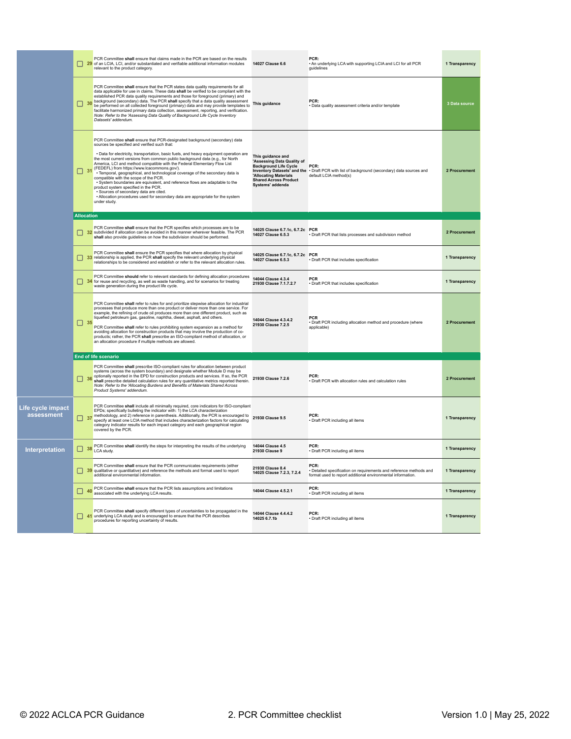|                                 |                   | PCR Committee shall ensure that claims made in the PCR are based on the results<br>29 of an LCIA, LCI, and/or substantiated and verifiable additional information modules<br>relevant to the product category.                                                                                                                                                                                                                                                                                                                                                                                                                                                                                                                                                                                                                 | 14027 Clause 6.6                                                                                                             | PCR:<br>. An underlying LCA with supporting LCIA and LCI for all PCR<br>guidelines                                                                   | 1 Transparency |
|---------------------------------|-------------------|--------------------------------------------------------------------------------------------------------------------------------------------------------------------------------------------------------------------------------------------------------------------------------------------------------------------------------------------------------------------------------------------------------------------------------------------------------------------------------------------------------------------------------------------------------------------------------------------------------------------------------------------------------------------------------------------------------------------------------------------------------------------------------------------------------------------------------|------------------------------------------------------------------------------------------------------------------------------|------------------------------------------------------------------------------------------------------------------------------------------------------|----------------|
|                                 |                   | PCR Committee shall ensure that the PCR states data quality requirements for all<br>data applicable for use in claims. These data shall be verified to be compliant with the<br>established PCR data quality requirements and those for foreground (primary) and<br>30 background (secondary) data. The PCR shall specify that a data quality assessment<br>30 be performed on all collected foreground (primary) data and may provide templates to<br>facilitate harmonized primary data collection, assessment, reporting, and verification.<br>Note: Refer to the 'Assessing Data Quality of Background Life Cycle Inventory<br>Datasets' addendum.                                                                                                                                                                         | This quidance                                                                                                                | PCR:<br>· Data quality assessment criteria and/or template                                                                                           | 3 Data source  |
|                                 |                   | PCR Committee shall ensure that PCR-designated background (secondary) data<br>sources be specified and verified such that:<br>· Data for electricity, transportation, basic fuels, and heavy equipment operation are<br>the most current versions from common public background data (e.g., for North<br>America, LCI and method compatible with the Federal Elementary Flow List<br>31 FEDEFL) from https://www.lcacommons.gov/).<br>Temporal, geographical, and technological coverage of the secondary data is<br>compatible with the scope of the PCR.<br>· System boundaries are equivalent, and reference flows are adaptable to the<br>product system specified in the PCR.<br>· Sources of secondary data are cited.<br>• Allocation procedures used for secondary data are appropriate for the system<br>under study. | This guidance and<br>'Assessing Data Quality of<br>'Allocating Materials<br><b>Shared Across Product</b><br>Systems' addenda | Background Life Cycle PCR:<br>Inventory Datasets' and the . Draft PCR with list of background (secondary) data sources and<br>default LCIA method(s) | 2 Procurement  |
|                                 | <b>Allocation</b> |                                                                                                                                                                                                                                                                                                                                                                                                                                                                                                                                                                                                                                                                                                                                                                                                                                |                                                                                                                              |                                                                                                                                                      |                |
|                                 | П                 | PCR Committee shall ensure that the PCR specifies which processes are to be<br>32 subdivided if allocation can be avoided in this manner wherever feasible. The PCR<br>shall also provide guidelines on how the subdivision should be performed.                                                                                                                                                                                                                                                                                                                                                                                                                                                                                                                                                                               | 14025 Clause 6.7.1c, 6.7.2c PCR<br>14027 Clause 6.5.3                                                                        | · Draft PCR that lists processes and subdivision method                                                                                              | 2 Procurement  |
|                                 | П                 | PCR Committee shall ensure the PCR specifies that where allocation by physical<br>33 relationship is applied, the PCR shall specify the relevant underlying physical<br>relationships to be considered and establish or refer to the relevant allocation rules.                                                                                                                                                                                                                                                                                                                                                                                                                                                                                                                                                                | 14025 Clause 6.7.1c, 6.7.2c PCR<br>14027 Clause 6.5.3                                                                        | · Draft PCR that includes specification                                                                                                              | 1 Transparency |
|                                 |                   | PCR Committee should refer to relevant standards for defining allocation procedures<br>34 for reuse and recycling, as well as waste handling, and for scenarios for treating<br>waste generation during the product life cycle.                                                                                                                                                                                                                                                                                                                                                                                                                                                                                                                                                                                                | 14044 Clause 4.3.4<br>21930 Clause 7.1.7.2.7                                                                                 | <b>PCR</b><br>· Draft PCR that includes specification                                                                                                | 1 Transparency |
|                                 | $\Box$ 35         | PCR Committee shall refer to rules for and prioritize stepwise allocation for industrial processes that produce more than one product or deliver more than one service. For<br>example, the refining of crude oil produces more than one different product, such as<br>liquefied petroleum gas, gasoline, naphtha, diesel, asphalt, and others.<br>PCR Committee shall refer to rules prohibiting system expansion as a method for<br>avoiding allocation for construction products that may involve the production of co-<br>products; rather, the PCR shall prescribe an ISO-compliant method of allocation, or<br>an allocation procedure if multiple methods are allowed.                                                                                                                                                  | 14044 Clause 4.3.4.2<br>21930 Clause 7.2.5                                                                                   | PCR<br>· Draft PCR including allocation method and procedure (where<br>applicable)                                                                   | 2 Procurement  |
|                                 |                   | <b>End of life scenario</b>                                                                                                                                                                                                                                                                                                                                                                                                                                                                                                                                                                                                                                                                                                                                                                                                    |                                                                                                                              |                                                                                                                                                      |                |
|                                 |                   | PCR Committee shall prescribe ISO-compliant rules for allocation between product<br>systems (across the system boundary) and designate whether Module D may be<br><b>1998</b> Splinnally reported in the EPD for construction products and services. If so, the PCR<br><b>1999</b> Shall prescribe detailed entertainments for construction products and services. If so, the PCR<br>shall prescribe detailed calculation rules for any quantitative metrics reported therein.<br>Note: Refer to the 'Allocating Burdens and Benefits of Materials Shared Across<br>Product Systems' addendum.                                                                                                                                                                                                                                 | 21930 Clause 7.2.6                                                                                                           | PCR:<br>· Draft PCR with allocation rules and calculation rules                                                                                      | 2 Procurement  |
| Life cycle impact<br>assessment |                   | PCR Committee shall include all minimally required, core indicators for ISO-compliant<br>EPDs; specifically bulleting the indicator with: 1) the LCA characterization<br>methodology, and 2) reference in parenthesis. Additionally, the PCR is encouraged to<br>specify at least one LCIA method that includes characterization factors for calculating<br>category indicator results for each impact category and each geographical region<br>covered by the PCR.                                                                                                                                                                                                                                                                                                                                                            | 21930 Clause 9.5                                                                                                             | PCR:<br>· Draft PCR including all items                                                                                                              | 1 Transparency |
| Interpretation                  |                   | PCR Committee shall identify the steps for interpreting the results of the underlying<br>38 LCA study.                                                                                                                                                                                                                                                                                                                                                                                                                                                                                                                                                                                                                                                                                                                         | 14044 Clause 4.5<br>21930 Clause 9                                                                                           | PCR:<br>• Draft PCR including all items                                                                                                              | 1 Transparency |
|                                 | □                 | PCR Committee shall ensure that the PCR communicates requirements (either<br>39 qualitative or quantitative) and reference the methods and format used to report<br>additional environmental information.                                                                                                                                                                                                                                                                                                                                                                                                                                                                                                                                                                                                                      | 21930 Clause 8.4<br>14025 Clause 7.2.3. 7.2.4                                                                                | PCR:<br>· Detailed specification on requirements and reference methods and<br>format used to report additional environmental information.            | 1 Transparency |
|                                 |                   | PCR Committee shall ensure that the PCR lists assumptions and limitations<br>40 associated with the underlying LCA results.                                                                                                                                                                                                                                                                                                                                                                                                                                                                                                                                                                                                                                                                                                    | 14044 Clause 4.5.2.1                                                                                                         | PCR:<br>· Draft PCR including all items                                                                                                              | 1 Transparency |
|                                 | □                 | PCR Committee shall specify different types of uncertainties to be propagated in the<br>41 underlying LCA study and is encouraged to ensure that the PCR describes<br>procedures for reporting uncertainty of results.                                                                                                                                                                                                                                                                                                                                                                                                                                                                                                                                                                                                         | 14044 Clause 4.4.4.2<br>14025 6.7.1b                                                                                         | PCR:<br>· Draft PCR including all items                                                                                                              | 1 Transparency |